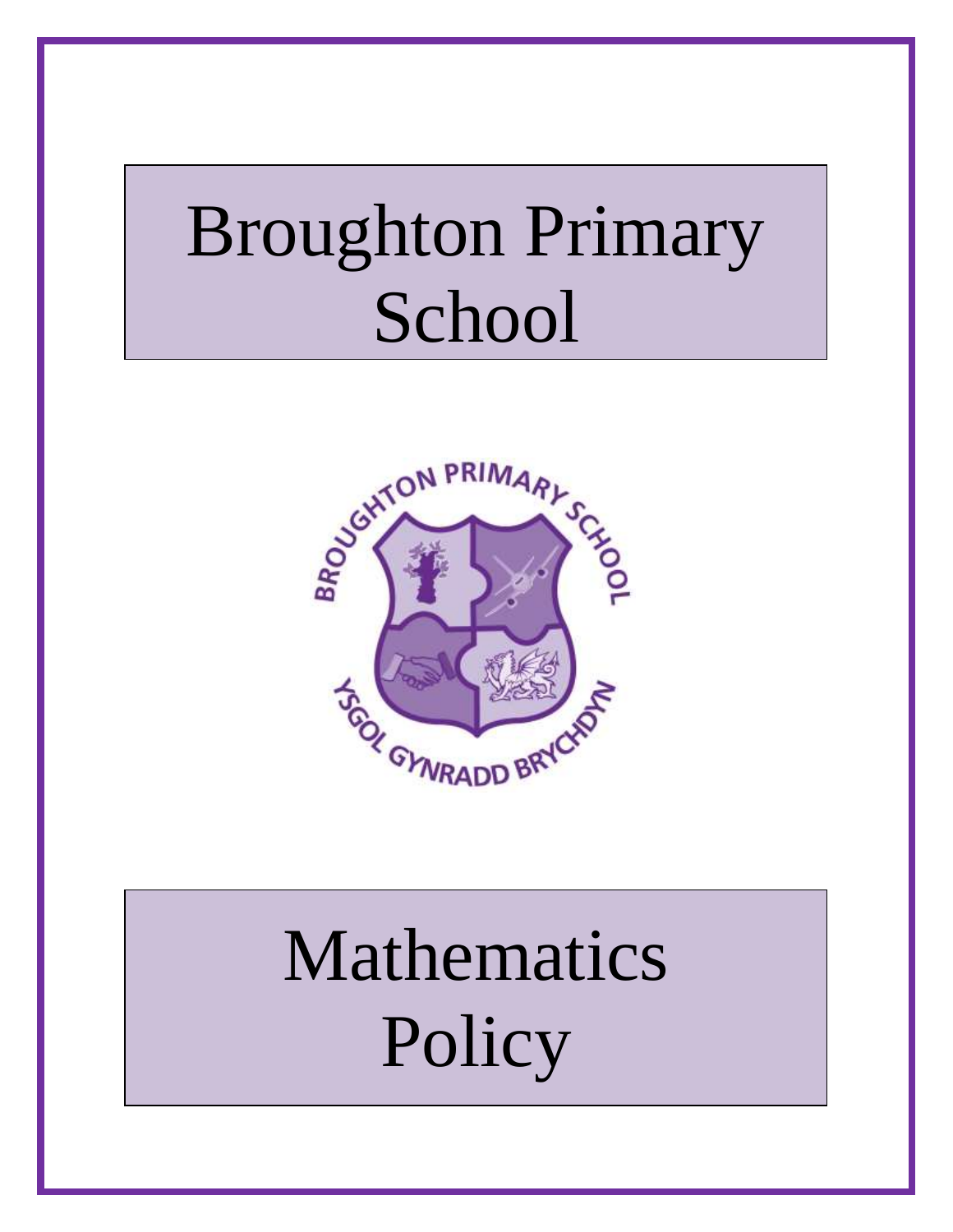# Broughton Primary School



# Mathematics **Policy**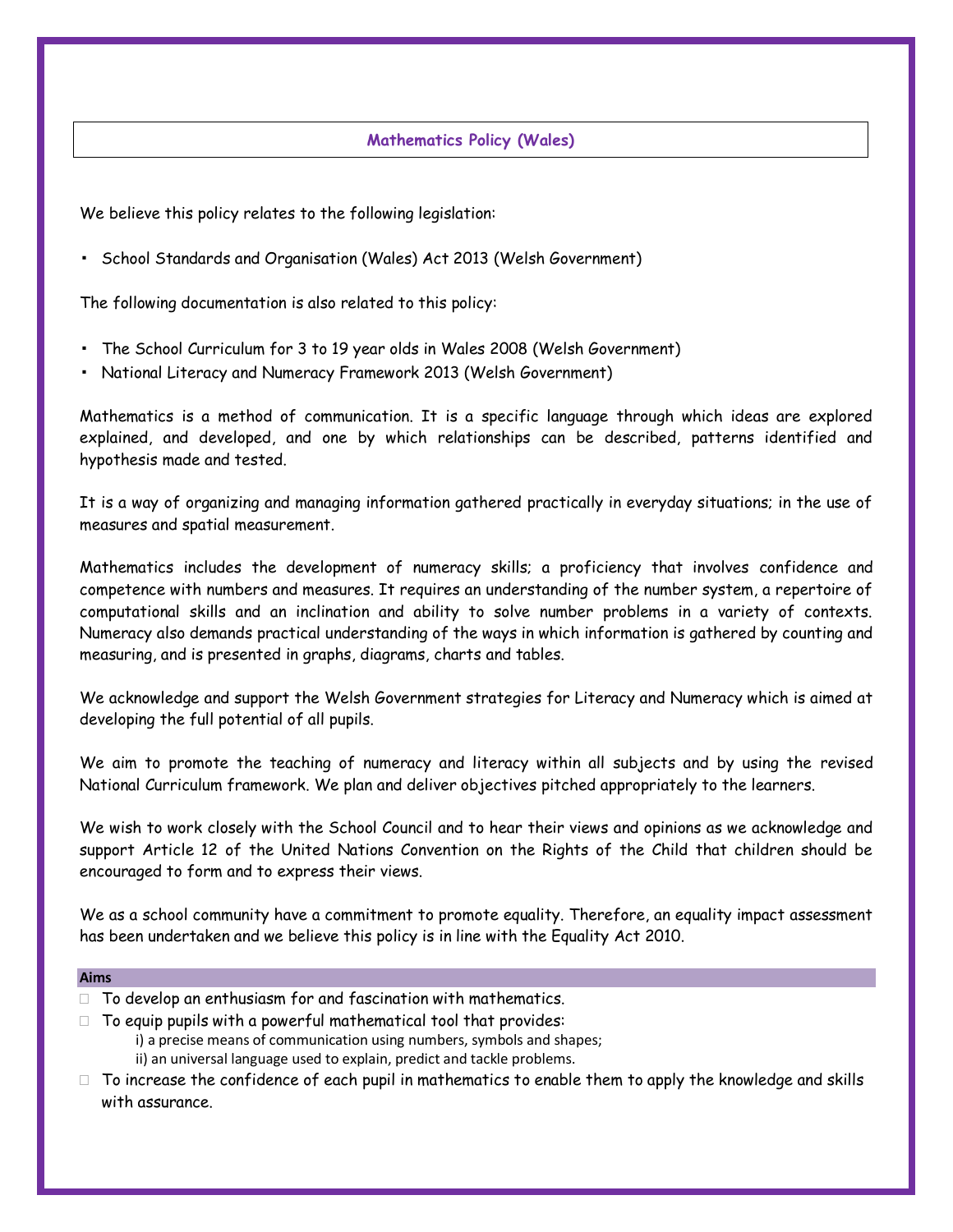#### **Mathematics Policy (Wales)**

We believe this policy relates to the following legislation:

▪ School Standards and Organisation (Wales) Act 2013 (Welsh Government)

The following documentation is also related to this policy:

- The School Curriculum for 3 to 19 year olds in Wales 2008 (Welsh Government)
- National Literacy and Numeracy Framework 2013 (Welsh Government)

Mathematics is a method of communication. It is a specific language through which ideas are explored explained, and developed, and one by which relationships can be described, patterns identified and hypothesis made and tested.

It is a way of organizing and managing information gathered practically in everyday situations; in the use of measures and spatial measurement.

Mathematics includes the development of numeracy skills; a proficiency that involves confidence and competence with numbers and measures. It requires an understanding of the number system, a repertoire of computational skills and an inclination and ability to solve number problems in a variety of contexts. Numeracy also demands practical understanding of the ways in which information is gathered by counting and measuring, and is presented in graphs, diagrams, charts and tables.

We acknowledge and support the Welsh Government strategies for Literacy and Numeracy which is aimed at developing the full potential of all pupils.

We aim to promote the teaching of numeracy and literacy within all subjects and by using the revised National Curriculum framework. We plan and deliver objectives pitched appropriately to the learners.

We wish to work closely with the School Council and to hear their views and opinions as we acknowledge and support Article 12 of the United Nations Convention on the Rights of the Child that children should be encouraged to form and to express their views.

We as a school community have a commitment to promote equality. Therefore, an equality impact assessment has been undertaken and we believe this policy is in line with the Equality Act 2010.

#### **Aims**

- $\Box$  To develop an enthusiasm for and fascination with mathematics.
- $\Box$  To equip pupils with a powerful mathematical tool that provides:
	- i) a precise means of communication using numbers, symbols and shapes; ii) an universal language used to explain, predict and tackle problems.
- $\Box$  To increase the confidence of each pupil in mathematics to enable them to apply the knowledge and skills with assurance.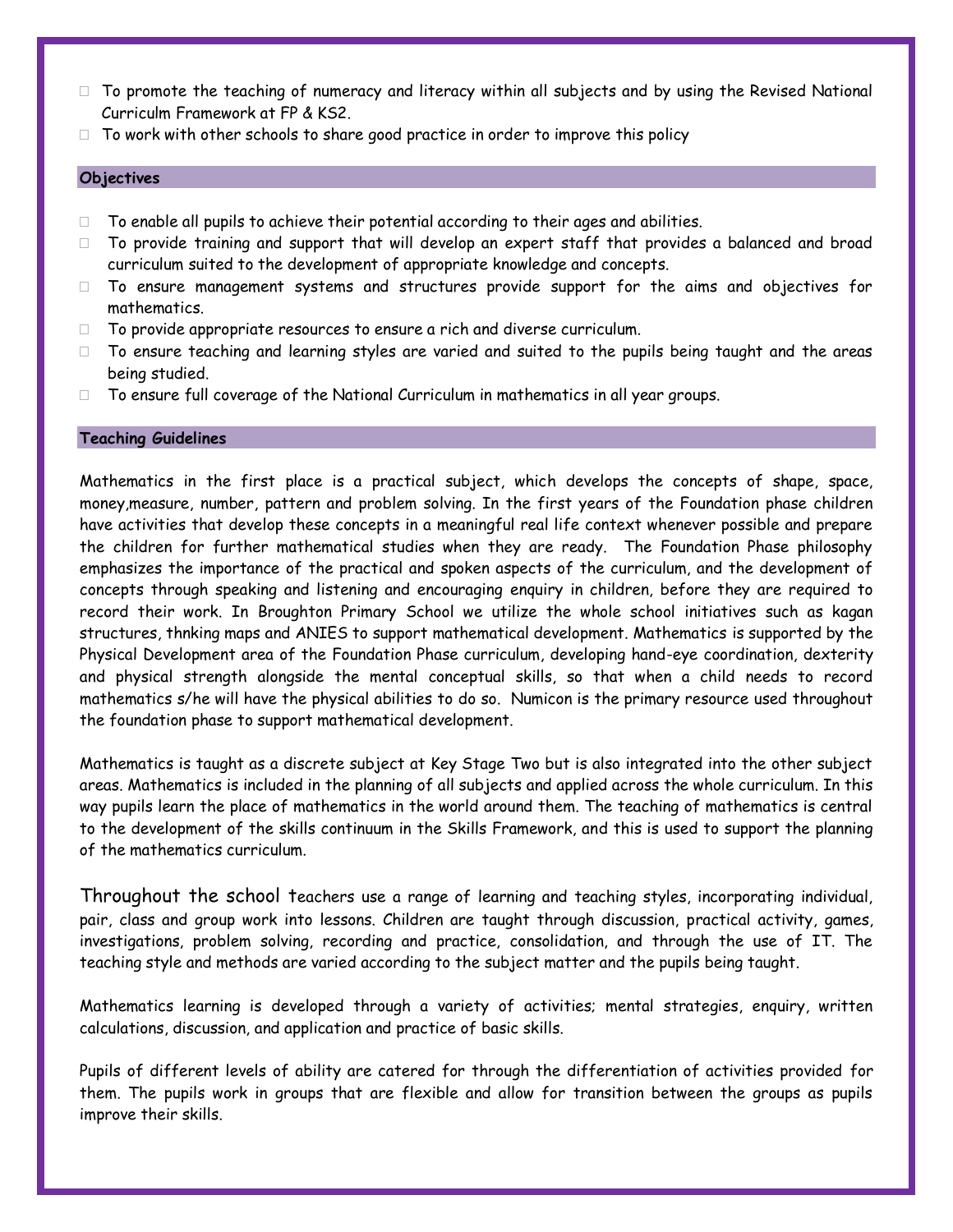- $\Box$  To promote the teaching of numeracy and literacy within all subjects and by using the Revised National Curriculm Framework at FP & KS2.
- $\Box$  To work with other schools to share good practice in order to improve this policy

#### **Objectives**

- $\Box$  To enable all pupils to achieve their potential according to their ages and abilities.
- $\Box$  To provide training and support that will develop an expert staff that provides a balanced and broad curriculum suited to the development of appropriate knowledge and concepts.
- $\square$  To ensure management systems and structures provide support for the aims and objectives for mathematics.
- □ To provide appropriate resources to ensure a rich and diverse curriculum.
- $\Box$  To ensure teaching and learning styles are varied and suited to the pupils being taught and the areas being studied.
- $\square$  To ensure full coverage of the National Curriculum in mathematics in all year groups.

#### **Teaching Guidelines**

Mathematics in the first place is a practical subject, which develops the concepts of shape, space, money,measure, number, pattern and problem solving. In the first years of the Foundation phase children have activities that develop these concepts in a meaningful real life context whenever possible and prepare the children for further mathematical studies when they are ready. The Foundation Phase philosophy emphasizes the importance of the practical and spoken aspects of the curriculum, and the development of concepts through speaking and listening and encouraging enquiry in children, before they are required to record their work. In Broughton Primary School we utilize the whole school initiatives such as kagan structures, thnking maps and ANIES to support mathematical development. Mathematics is supported by the Physical Development area of the Foundation Phase curriculum, developing hand-eye coordination, dexterity and physical strength alongside the mental conceptual skills, so that when a child needs to record mathematics s/he will have the physical abilities to do so. Numicon is the primary resource used throughout the foundation phase to support mathematical development.

Mathematics is taught as a discrete subject at Key Stage Two but is also integrated into the other subject areas. Mathematics is included in the planning of all subjects and applied across the whole curriculum. In this way pupils learn the place of mathematics in the world around them. The teaching of mathematics is central to the development of the skills continuum in the Skills Framework, and this is used to support the planning of the mathematics curriculum.

Throughout the school teachers use a range of learning and teaching styles, incorporating individual, pair, class and group work into lessons. Children are taught through discussion, practical activity, games, investigations, problem solving, recording and practice, consolidation, and through the use of IT. The teaching style and methods are varied according to the subject matter and the pupils being taught.

Mathematics learning is developed through a variety of activities; mental strategies, enquiry, written calculations, discussion, and application and practice of basic skills.

Pupils of different levels of ability are catered for through the differentiation of activities provided for them. The pupils work in groups that are flexible and allow for transition between the groups as pupils improve their skills.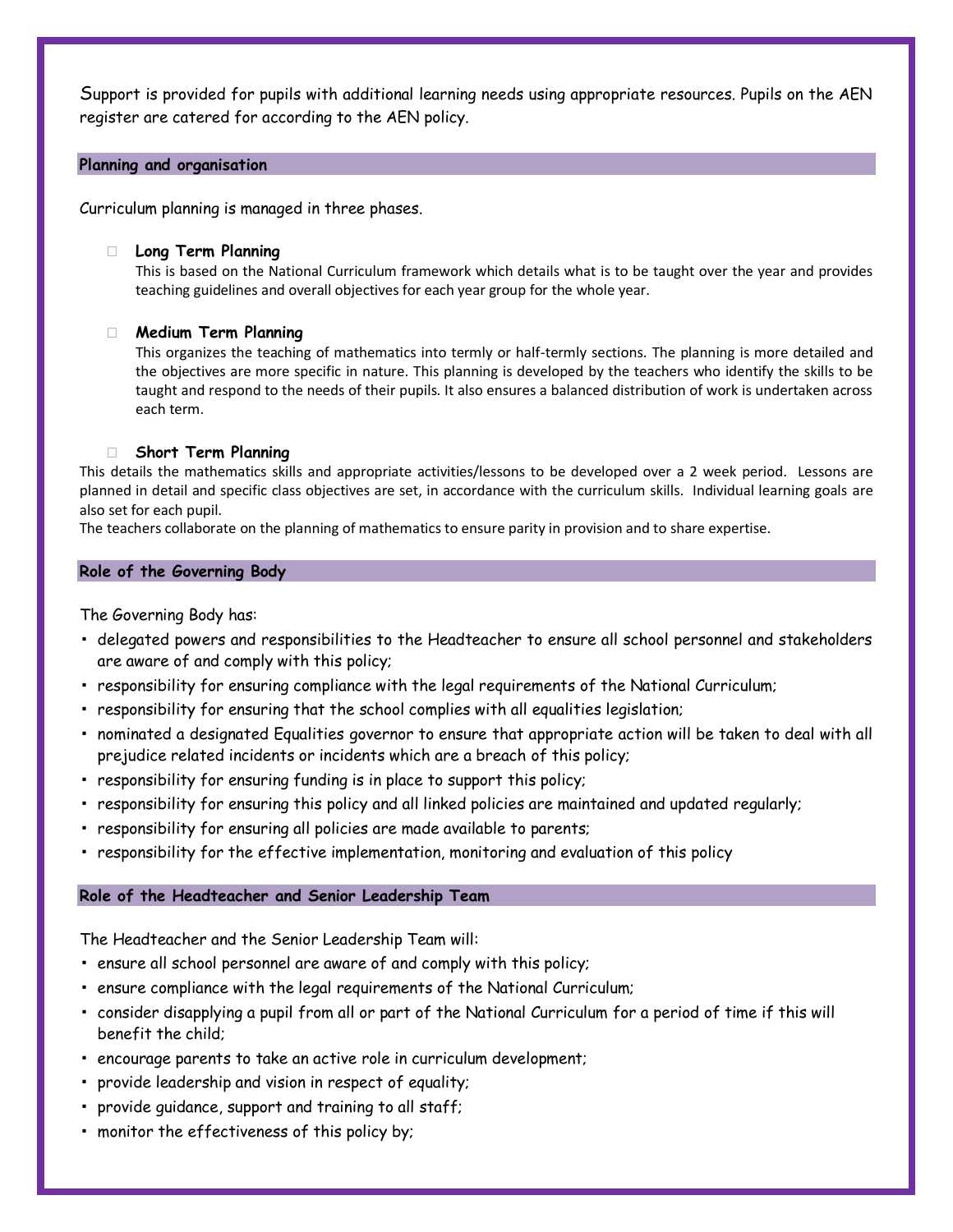Support is provided for pupils with additional learning needs using appropriate resources. Pupils on the AEN register are catered for according to the AEN policy.

#### **Planning and organisation**

Curriculum planning is managed in three phases.

#### **Long Term Planning**

This is based on the National Curriculum framework which details what is to be taught over the year and provides teaching guidelines and overall objectives for each year group for the whole year.

#### **Medium Term Planning**

This organizes the teaching of mathematics into termly or half-termly sections. The planning is more detailed and the objectives are more specific in nature. This planning is developed by the teachers who identify the skills to be taught and respond to the needs of their pupils. It also ensures a balanced distribution of work is undertaken across each term.

#### **Short Term Planning**

This details the mathematics skills and appropriate activities/lessons to be developed over a 2 week period. Lessons are planned in detail and specific class objectives are set, in accordance with the curriculum skills. Individual learning goals are also set for each pupil.

The teachers collaborate on the planning of mathematics to ensure parity in provision and to share expertise.

#### **Role of the Governing Body**

The Governing Body has:

- delegated powers and responsibilities to the Headteacher to ensure all school personnel and stakeholders are aware of and comply with this policy;
- responsibility for ensuring compliance with the legal requirements of the National Curriculum;
- responsibility for ensuring that the school complies with all equalities legislation;
- nominated a designated Equalities governor to ensure that appropriate action will be taken to deal with all prejudice related incidents or incidents which are a breach of this policy;
- responsibility for ensuring funding is in place to support this policy;
- responsibility for ensuring this policy and all linked policies are maintained and updated regularly;
- responsibility for ensuring all policies are made available to parents;
- responsibility for the effective implementation, monitoring and evaluation of this policy

#### **Role of the Headteacher and Senior Leadership Team**

The Headteacher and the Senior Leadership Team will:

- ensure all school personnel are aware of and comply with this policy;
- ensure compliance with the legal requirements of the National Curriculum;
- consider disapplying a pupil from all or part of the National Curriculum for a period of time if this will benefit the child;
- encourage parents to take an active role in curriculum development;
- provide leadership and vision in respect of equality;
- provide guidance, support and training to all staff;
- monitor the effectiveness of this policy by;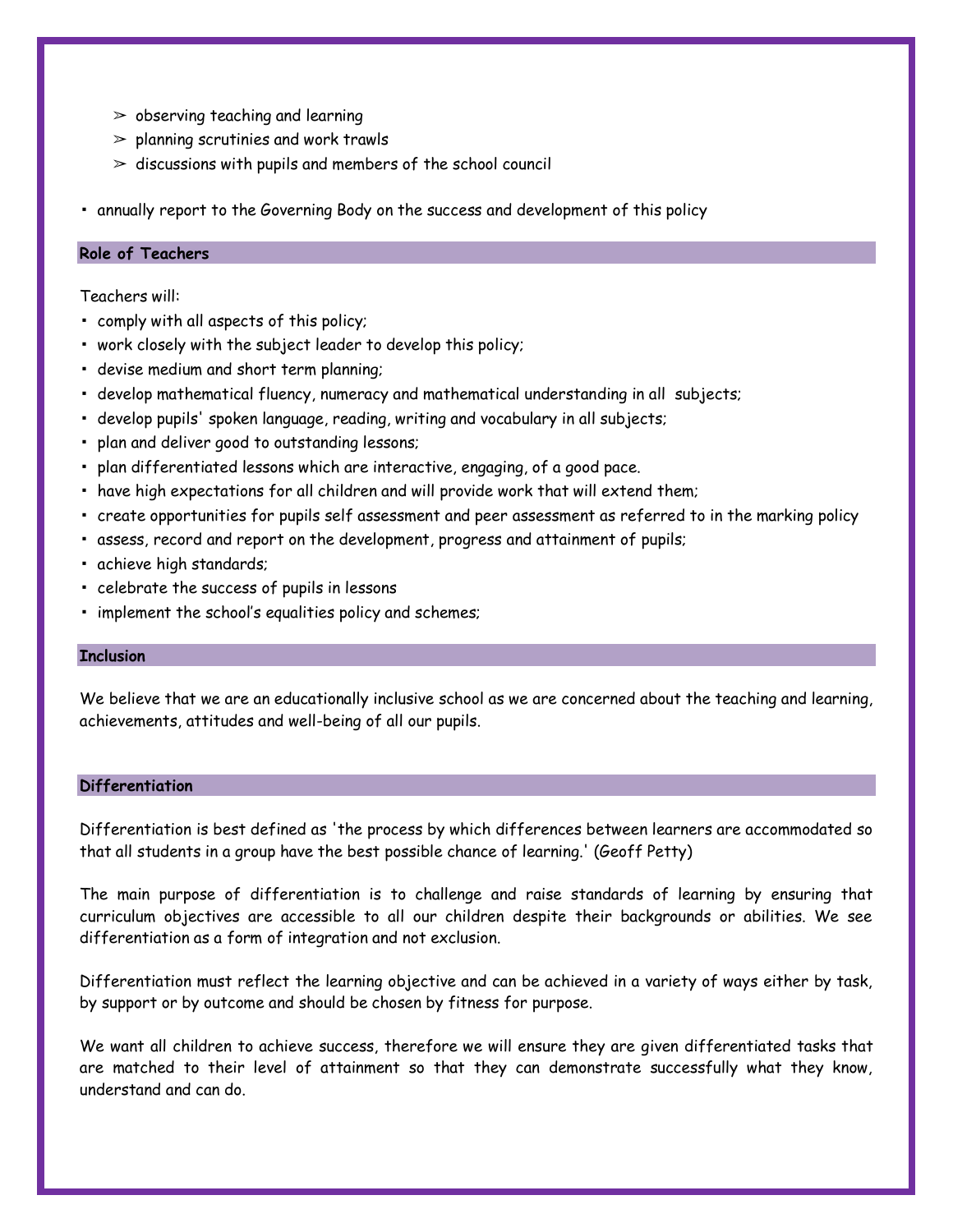- $\geq$  observing teaching and learning
- $\geq$  planning scrutinies and work trawls
- $\ge$  discussions with pupils and members of the school council
- annually report to the Governing Body on the success and development of this policy

#### **Role of Teachers**

Teachers will:

- comply with all aspects of this policy;
- work closely with the subject leader to develop this policy;
- devise medium and short term planning;
- develop mathematical fluency, numeracy and mathematical understanding in all subjects;
- develop pupils' spoken language, reading, writing and vocabulary in all subjects;
- plan and deliver good to outstanding lessons;
- plan differentiated lessons which are interactive, engaging, of a good pace.
- have high expectations for all children and will provide work that will extend them;
- create opportunities for pupils self assessment and peer assessment as referred to in the marking policy
- assess, record and report on the development, progress and attainment of pupils;
- achieve high standards;
- celebrate the success of pupils in lessons
- implement the school's equalities policy and schemes;

#### **Inclusion**

We believe that we are an educationally inclusive school as we are concerned about the teaching and learning, achievements, attitudes and well-being of all our pupils.

#### **Differentiation**

Differentiation is best defined as 'the process by which differences between learners are accommodated so that all students in a group have the best possible chance of learning.' (Geoff Petty)

The main purpose of differentiation is to challenge and raise standards of learning by ensuring that curriculum objectives are accessible to all our children despite their backgrounds or abilities. We see differentiation as a form of integration and not exclusion.

Differentiation must reflect the learning objective and can be achieved in a variety of ways either by task, by support or by outcome and should be chosen by fitness for purpose.

We want all children to achieve success, therefore we will ensure they are given differentiated tasks that are matched to their level of attainment so that they can demonstrate successfully what they know, understand and can do.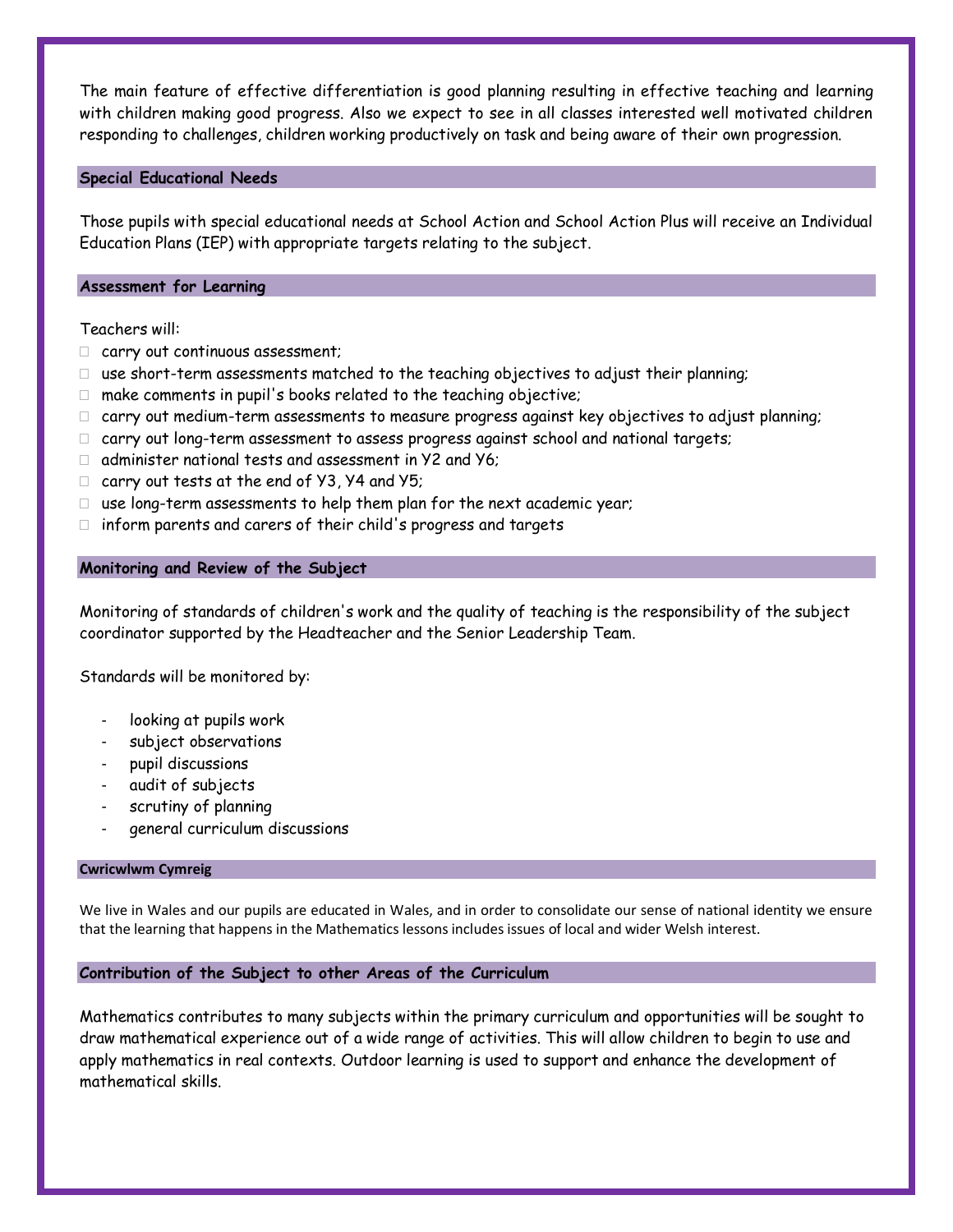The main feature of effective differentiation is good planning resulting in effective teaching and learning with children making good progress. Also we expect to see in all classes interested well motivated children responding to challenges, children working productively on task and being aware of their own progression.

#### **Special Educational Needs**

Those pupils with special educational needs at School Action and School Action Plus will receive an Individual Education Plans (IEP) with appropriate targets relating to the subject.

#### **Assessment for Learning**

Teachers will:

- carry out continuous assessment;
- $\Box$  use short-term assessments matched to the teaching objectives to adjust their planning;
- $\Box$  make comments in pupil's books related to the teaching objective;
- $\Box$  carry out medium-term assessments to measure progress against key objectives to adjust planning;
- carry out long-term assessment to assess progress against school and national targets;
- $\Box$  administer national tests and assessment in Y2 and Y6;
- $\Box$  carry out tests at the end of Y3, Y4 and Y5:
- $\Box$  use long-term assessments to help them plan for the next academic year;
- $\Box$  inform parents and carers of their child's progress and targets

#### **Monitoring and Review of the Subject**

Monitoring of standards of children's work and the quality of teaching is the responsibility of the subject coordinator supported by the Headteacher and the Senior Leadership Team.

Standards will be monitored by:

- looking at pupils work
- subject observations
- pupil discussions
- audit of subjects
- scrutiny of planning
- general curriculum discussions

#### **Cwricwlwm Cymreig**

We live in Wales and our pupils are educated in Wales, and in order to consolidate our sense of national identity we ensure that the learning that happens in the Mathematics lessons includes issues of local and wider Welsh interest.

#### **Contribution of the Subject to other Areas of the Curriculum**

Mathematics contributes to many subjects within the primary curriculum and opportunities will be sought to draw mathematical experience out of a wide range of activities. This will allow children to begin to use and apply mathematics in real contexts. Outdoor learning is used to support and enhance the development of mathematical skills.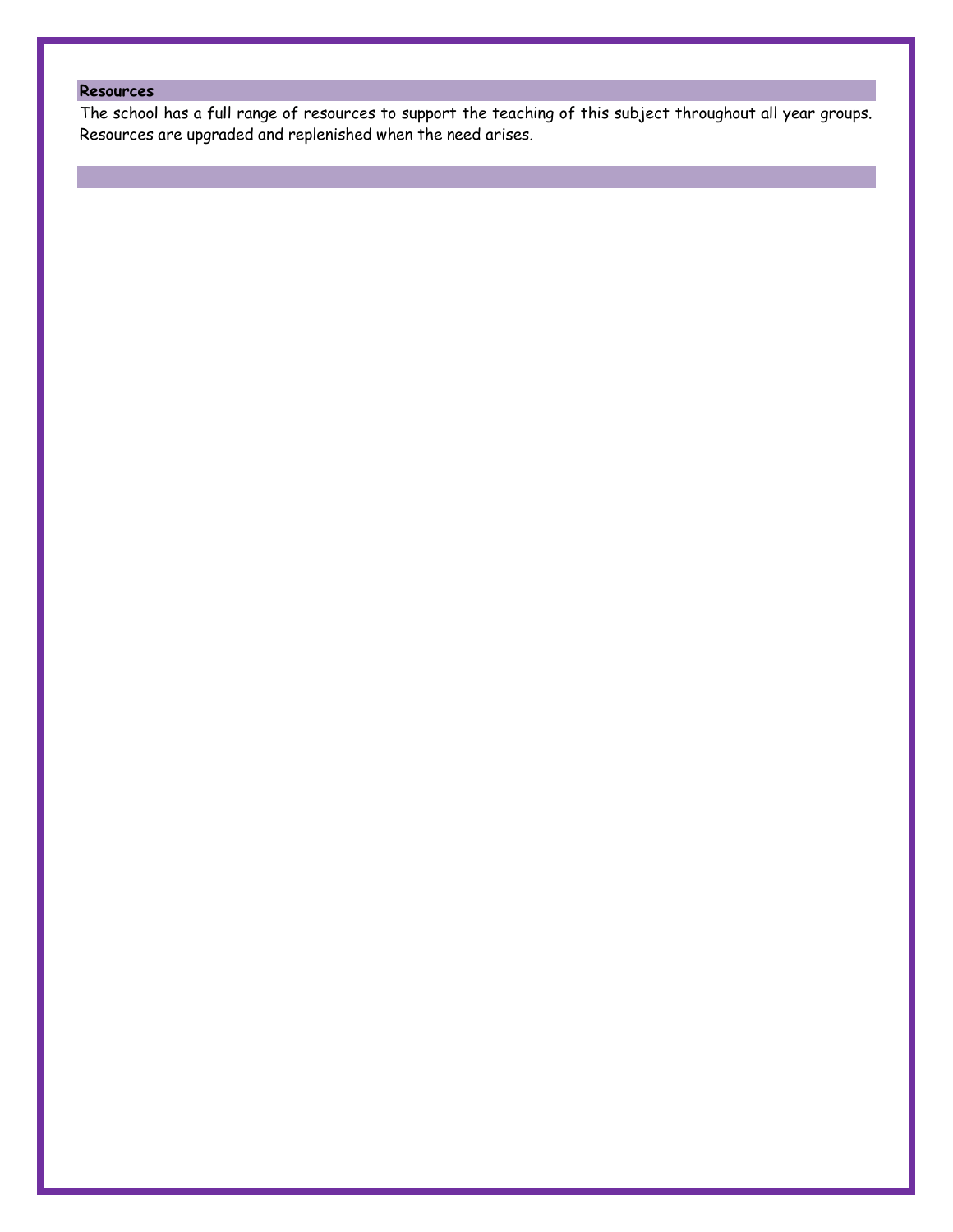## **Resources**

The school has a full range of resources to support the teaching of this subject throughout all year groups. Resources are upgraded and replenished when the need arises.